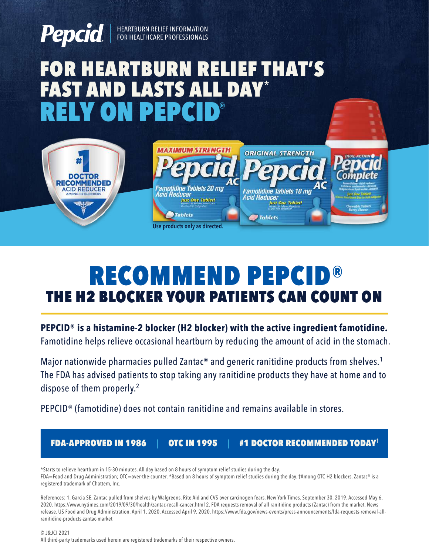

# RELY ON PEPCID**®** FOR HEARTBURN RELIEF THAT'S<br>FAST AND LASTS ALL DAY\* **ASTS AL**



# THE H2 BLOCKER YOUR PATIENTS CAN COUNT ON RECOMMEND PEPCID

**PEPCID® is a histamine-2 blocker (H2 blocker) with the active ingredient famotidine.**

Famotidine helps relieve occasional heartburn by reducing the amount of acid in the stomach.

Major nationwide pharmacies pulled Zantac<sup>®</sup> and generic ranitidine products from shelves.<sup>1</sup> The FDA has advised patients to stop taking any ranitidine products they have at home and to dispose of them properly.<sup>2</sup>

PEPCID® (famotidine) does not contain ranitidine and remains available in stores.

FDA-APPROVED IN 1986|OTC IN 1995|#1 DOCTOR RECOMMENDED TODAY**†**

\*Starts to relieve heartburn in 15-30 minutes. All day based on 8 hours of symptom relief studies during the day. FDA=Food and Drug Administration; OTC=over-the-counter. \*Based on 8 hours of symptom relief studies during the day. †Among OTC H2 blockers. Zantac® is a registered trademark of Chattem, Inc.

References: 1. Garcia SE. Zantac pulled from shelves by Walgreens, Rite Aid and CVS over carcinogen fears. New York Times. September 30, 2019. Accessed May 6, 2020. https://www.nytimes.com/2019/09/30/health/zantac-recall-cancer.html 2. FDA requests removal of all ranitidine products (Zantac) from the market. News release. US Food and Drug Administration. April 1, 2020. Accessed April 9, 2020. https://www.fda.gov/news-events/press-announcements/fda-requests-removal-allranitidine-products-zantac-market

© J&JCI 2021 All third-party trademarks used herein are registered trademarks of their respective owners.